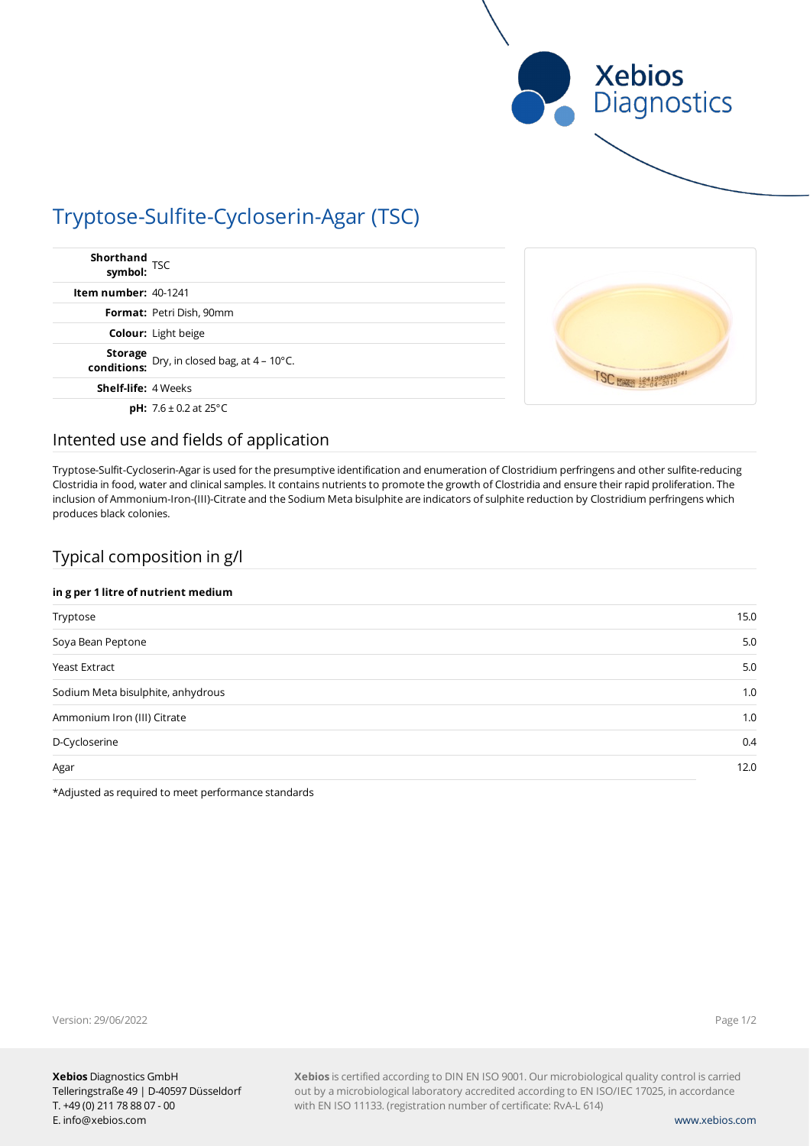

# Tryptose-Sulfite-Cycloserin-Agar (TSC)

| Shorthand<br>symbol: TSC                                                                        |  |
|-------------------------------------------------------------------------------------------------|--|
| Item number: $40-1241$                                                                          |  |
| <b>Format: Petri Dish, 90mm</b>                                                                 |  |
| <b>Colour:</b> Light beige                                                                      |  |
| <b>Storage</b> Dry, in closed bag, at 4 – 10°C.<br>conditions: Dry, in closed bag, at 4 – 10°C. |  |
| <b>Shelf-life: 4 Weeks</b>                                                                      |  |
| <b>pH:</b> $7.6 \pm 0.2$ at 25 $^{\circ}$ C                                                     |  |

### Intented use and fields of application

Tryptose-Sulfit-Cycloserin-Agar is used for the presumptive identification and enumeration of Clostridium perfringens and other sulfite-reducing Clostridia in food, water and clinical samples. It contains nutrients to promote the growth of Clostridia and ensure their rapid proliferation. The inclusion of Ammonium-Iron-(III)-Citrate and the Sodium Meta bisulphite are indicators of sulphite reduction by Clostridium perfringens which produces black colonies.

## Typical composition in g/l

### **in g per 1 litre of nutrient medium**

| Tryptose                          | 15.0 |
|-----------------------------------|------|
| Soya Bean Peptone                 | 5.0  |
| Yeast Extract                     | 5.0  |
| Sodium Meta bisulphite, anhydrous | 1.0  |
| Ammonium Iron (III) Citrate       | 1.0  |
| D-Cycloserine                     | 0.4  |
| Agar                              | 12.0 |

\*Adjusted as required to meet performance standards

Version: 29/06/2022

**Xebios** is certified according to DIN EN ISO 9001. Our microbiological quality control is carried out by a microbiological laboratory accredited according to EN ISO/IEC 17025, in accordance with EN ISO 11133. (registration number of certificate: RvA-L 614)